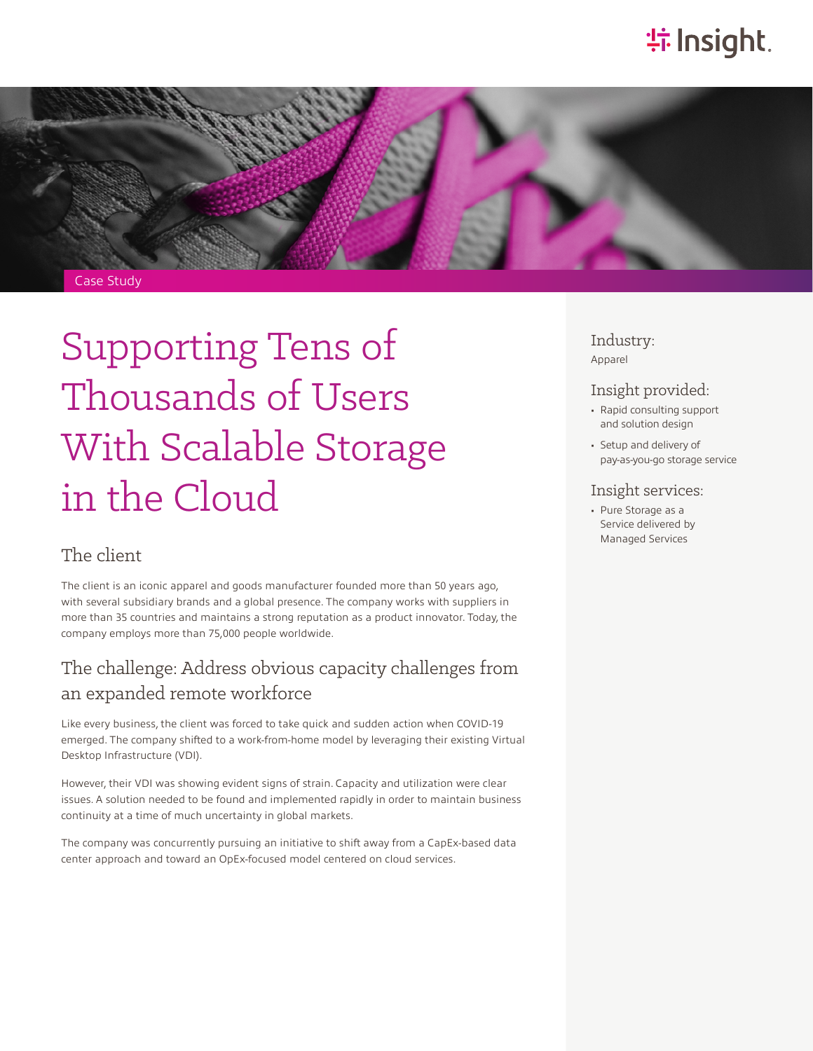# **特Insight**.



# Supporting Tens of Thousands of Users With Scalable Storage in the Cloud

#### The client

The client is an iconic apparel and goods manufacturer founded more than 50 years ago, with several subsidiary brands and a global presence. The company works with suppliers in more than 35 countries and maintains a strong reputation as a product innovator. Today, the company employs more than 75,000 people worldwide.

#### The challenge: Address obvious capacity challenges from an expanded remote workforce

Like every business, the client was forced to take quick and sudden action when COVID-19 emerged. The company shifted to a work-from-home model by leveraging their existing Virtual Desktop Infrastructure (VDI).

However, their VDI was showing evident signs of strain. Capacity and utilization were clear issues. A solution needed to be found and implemented rapidly in order to maintain business continuity at a time of much uncertainty in global markets.

The company was concurrently pursuing an initiative to shift away from a CapEx-based data center approach and toward an OpEx-focused model centered on cloud services.

Industry: Apparel

#### Insight provided:

- Rapid consulting support and solution design
- Setup and delivery of pay-as-you-go storage service

#### Insight services:

• Pure Storage as a Service delivered by Managed Services